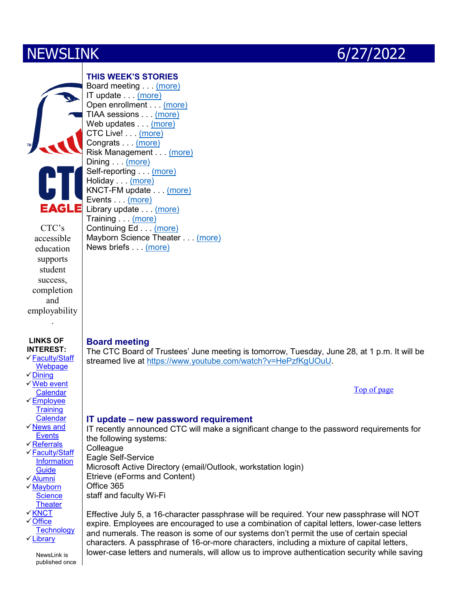<span id="page-0-2"></span>



CTC's accessible education supports student success, completion and employability

.

#### **LINKS OF INTEREST:**

[Faculty/Staff](http://www.ctcfacstaff.ctcd.edu/)  [Webpage](http://www.ctcfacstaff.ctcd.edu/) 

- $\checkmark$  [Dining](https://www.ctcd.edu/sites/ctcd/assets/File/NewsEvents/Great%20Western%20Dining%20menu.pdf)
- [Web event](https://www.ctcd.edu/news-events/texas-campus-news/events-calendar1/)  **[Calendar](https://www.ctcd.edu/news-events/texas-campus-news/events-calendar1/)**
- [Employee](http://www.ctcfacstaff.ctcd.edu/faculty-staff/human-resources/employee-training/employee-training-calendar/)  **Training [Calendar](http://www.ctcfacstaff.ctcd.edu/faculty-staff/human-resources/employee-training/employee-training-calendar/)**
- [News and](http://www.ctcd.edu/news-events/)  **Events**
- [Referrals](https://centraltexascollege.tfaforms.net/217750)
- [Faculty/Staff](http://www.ctcd.edu/locations/central-campus/campus-safety-wellness/safety-and-security/campus-police1/general-information/faqs-or-frequently-asked-questions/)  **Information**
- **[Guide](http://www.ctcd.edu/locations/central-campus/campus-safety-wellness/safety-and-security/campus-police1/general-information/faqs-or-frequently-asked-questions/)** [Alumni](http://www.ctcd.edu/about-ctc/alumni-network/)
- $\sqrt{\mathsf{Mayborn}}$ **Science**
- **[Theater](http://www.starsatnight.org/)**
- **√[KNCT](http://www.knct.org/)**
- [Office](http://www.ctcd.edu/academics/instructional-departments/office-technology/)  **[Technology](http://www.ctcd.edu/academics/instructional-departments/office-technology/)**
- [Library](http://www.ctcd.edu/academics/library/)

NewsLink is published once

#### **THIS WEEK'S STORIES** Board meeting . . . [\(more\)](#page-0-0) IT update . . . [\(more\)](#page-0-1) Open enrollment . . . (more)

TIAA sessions . . . [\(more\)](#page-1-0) Web updates . . . [\(more\)](#page-2-0) CTC Live! . . . [\(more\)](#page-2-1) Congrats . . . [\(more\)](#page-2-2) Risk Management . . . [\(more\)](#page-2-3) Dining . . . [\(more\)](#page-2-4) Self-reporting ... (more) Holiday [\(more\)](#page-3-0) KNCT-FM update . . . [\(more\)](#page-3-1) Events . . . [\(more\)](#page-3-2)  Library update . . . [\(more\)](#page-3-3) Training . . . [\(more\)](#page-4-0) Continuing Ed . . . [\(more\)](#page-4-1)  Mayborn Science Theater . . . [\(more\)](#page-4-2) News briefs . . . [\(more\)](#page-5-0)

## <span id="page-0-0"></span>**Board meeting**

The CTC Board of Trustees' June meeting is tomorrow, Tuesday, June 28, at 1 p.m. It will be streamed live at [https://www.youtube.com/watch?v=HePzfKgUOuU.](https://www.youtube.com/watch?v=HePzfKgUOuU)

[Top of page](#page-0-2)

## <span id="page-0-1"></span>**IT update – new password requirement**

IT recently announced CTC will make a significant change to the password requirements for the following systems: **Colleague** Eagle Self-Service

Microsoft Active Directory (email/Outlook, workstation login) Etrieve (eForms and Content)

Office 365

staff and faculty Wi-Fi

Effective July 5, a 16-character passphrase will be required. Your new passphrase will NOT expire. Employees are encouraged to use a combination of capital letters, lower-case letters and numerals. The reason is some of our systems don't permit the use of certain special characters. A passphrase of 16-or-more characters, including a mixture of capital letters, lower-case letters and numerals, will allow us to improve authentication security while saving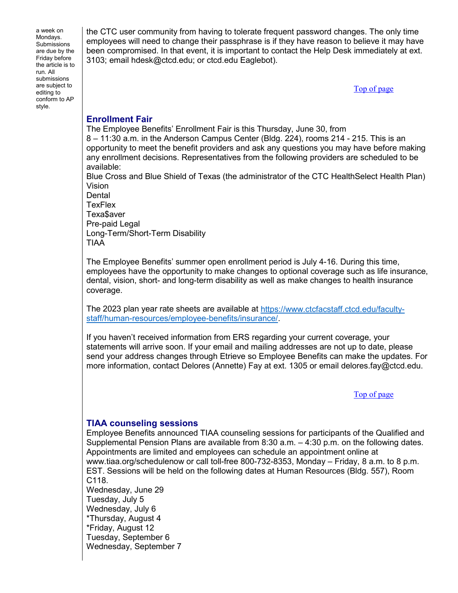a week on Mondays. Submissions are due by the Friday before the article is to run. All submissions are subject to editing to conform to AP style.

the CTC user community from having to tolerate frequent password changes. The only time employees will need to change their passphrase is if they have reason to believe it may have been compromised. In that event, it is important to contact the Help Desk immediately at ext. 3103; email hdesk@ctcd.edu; or ctcd.edu Eaglebot).

[Top of page](#page-0-2)

## **Enrollment Fair**

The Employee Benefits' Enrollment Fair is this Thursday, June 30, from

8 – 11:30 a.m. in the Anderson Campus Center (Bldg. 224), rooms 214 - 215. This is an opportunity to meet the benefit providers and ask any questions you may have before making any enrollment decisions. Representatives from the following providers are scheduled to be available:

Blue Cross and Blue Shield of Texas (the administrator of the CTC HealthSelect Health Plan) Vision

**Dental TexFlex** Texa\$aver Pre-paid Legal Long-Term/Short-Term Disability TIAA

The Employee Benefits' summer open enrollment period is July 4-16. During this time, employees have the opportunity to make changes to optional coverage such as life insurance, dental, vision, short- and long-term disability as well as make changes to health insurance coverage.

The 2023 plan year rate sheets are available at [https://www.ctcfacstaff.ctcd.edu/faculty](https://www.ctcfacstaff.ctcd.edu/faculty-staff/human-resources/employee-benefits/insurance/)[staff/human-resources/employee-benefits/insurance/.](https://www.ctcfacstaff.ctcd.edu/faculty-staff/human-resources/employee-benefits/insurance/)

If you haven't received information from ERS regarding your current coverage, your statements will arrive soon. If your email and mailing addresses are not up to date, please send your address changes through Etrieve so Employee Benefits can make the updates. For more information, contact Delores (Annette) Fay at ext. 1305 or email delores.fay@ctcd.edu.

[Top of page](#page-0-2)

# <span id="page-1-0"></span>**TIAA counseling sessions**

Employee Benefits announced TIAA counseling sessions for participants of the Qualified and Supplemental Pension Plans are available from 8:30 a.m. – 4:30 p.m. on the following dates. Appointments are limited and employees can schedule an appointment online at www.tiaa.org/schedulenow or call toll-free 800-732-8353, Monday – Friday, 8 a.m. to 8 p.m. EST. Sessions will be held on the following dates at Human Resources (Bldg. 557), Room C118. Wednesday, June 29

Tuesday, July 5 Wednesday, July 6 \*Thursday, August 4 \*Friday, August 12 Tuesday, September 6 Wednesday, September 7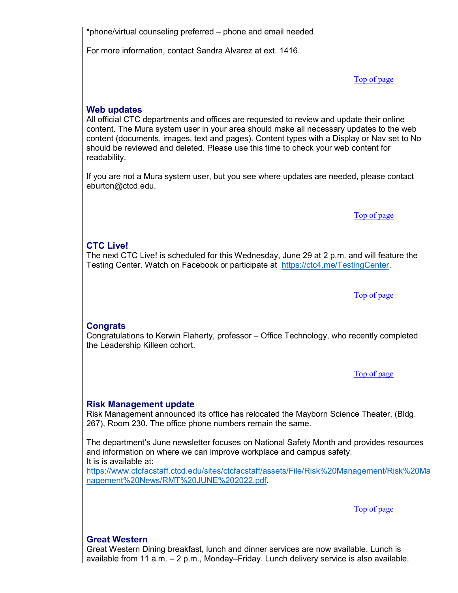\*phone/virtual counseling preferred – phone and email needed

For more information, contact Sandra Alvarez at ext. 1416.

[Top of page](#page-0-2)

## <span id="page-2-0"></span>**Web updates**

All official CTC departments and offices are requested to review and update their online content. The Mura system user in your area should make all necessary updates to the web content (documents, images, text and pages). Content types with a Display or Nav set to No should be reviewed and deleted. Please use this time to check your web content for readability.

If you are not a Mura system user, but you see where updates are needed, please contact eburton@ctcd.edu.

[Top of page](#page-0-2)

## <span id="page-2-1"></span>**CTC Live!**

The next CTC Live! is scheduled for this Wednesday, June 29 at 2 p.m. and will feature the Testing Center. Watch on Facebook or participate at [https://ctc4.me/TestingCenter.](https://ctc4.me/TestingCenter)

[Top of page](#page-0-2)

#### <span id="page-2-2"></span>**Congrats**

Congratulations to Kerwin Flaherty, professor – Office Technology, who recently completed the Leadership Killeen cohort.

[Top of page](#page-0-2)

#### <span id="page-2-3"></span>**Risk Management update**

Risk Management announced its office has relocated the Mayborn Science Theater, (Bldg. 267), Room 230. The office phone numbers remain the same.

The department's June newsletter focuses on National Safety Month and provides resources and information on where we can improve workplace and campus safety. It is is available at:

[https://www.ctcfacstaff.ctcd.edu/sites/ctcfacstaff/assets/File/Risk%20Management/Risk%20Ma](https://www.ctcfacstaff.ctcd.edu/sites/ctcfacstaff/assets/File/Risk%20Management/Risk%20Management%20News/RMT%20JUNE%202022.pdf) [nagement%20News/RMT%20JUNE%202022.pdf.](https://www.ctcfacstaff.ctcd.edu/sites/ctcfacstaff/assets/File/Risk%20Management/Risk%20Management%20News/RMT%20JUNE%202022.pdf)

[Top of page](#page-0-2)

## <span id="page-2-4"></span>**Great Western**

Great Western Dining breakfast, lunch and dinner services are now available. Lunch is available from 11 a.m. – 2 p.m., Monday–Friday. Lunch delivery service is also available.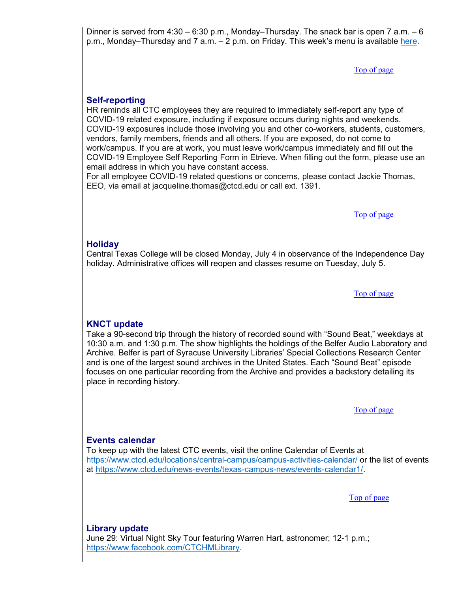Dinner is served from  $4:30 - 6:30$  p.m., Monday–Thursday. The snack bar is open 7 a.m.  $-6$ p.m., Monday–Thursday and 7 a.m. – 2 p.m. on Friday. This week's menu is available [here.](https://www.ctcd.edu/sites/ctcd/assets/File/NewsEvents/Great%20Western%20Dining%20menu.pdf)

[Top of page](#page-0-2)

## **Self-reporting**

HR reminds all CTC employees they are required to immediately self-report any type of COVID-19 related exposure, including if exposure occurs during nights and weekends. COVID-19 exposures include those involving you and other co-workers, students, customers, vendors, family members, friends and all others. If you are exposed, do not come to work/campus. If you are at work, you must leave work/campus immediately and fill out the COVID-19 Employee Self Reporting Form in Etrieve. When filling out the form, please use an email address in which you have constant access.

For all employee COVID-19 related questions or concerns, please contact Jackie Thomas, EEO, via email at jacqueline.thomas@ctcd.edu or call ext. 1391.

[Top of page](#page-0-2)

## <span id="page-3-0"></span>**Holiday**

Central Texas College will be closed Monday, July 4 in observance of the Independence Day holiday. Administrative offices will reopen and classes resume on Tuesday, July 5.

[Top of page](#page-0-2)

## <span id="page-3-1"></span>**KNCT update**

Take a 90-second trip through the history of recorded sound with "Sound Beat," weekdays at 10:30 a.m. and 1:30 p.m. The show highlights the holdings of the Belfer Audio Laboratory and Archive. Belfer is part of Syracuse University Libraries' Special Collections Research Center and is one of the largest sound archives in the United States. Each "Sound Beat" episode focuses on one particular recording from the Archive and provides a backstory detailing its place in recording history.

[Top of page](#page-0-2)

## <span id="page-3-2"></span>**Events calendar**

To keep up with the latest CTC events, visit the online Calendar of Events at <https://www.ctcd.edu/locations/central-campus/campus-activities-calendar/> or the list of events at [https://www.ctcd.edu/news-events/texas-campus-news/events-calendar1/.](https://www.ctcd.edu/news-events/texas-campus-news/events-calendar1/)

[Top of page](#page-0-2)

<span id="page-3-3"></span>**Library update**

June 29: Virtual Night Sky Tour featuring Warren Hart, astronomer; 12-1 p.m.; [https://www.facebook.com/CTCHMLibrary.](https://www.facebook.com/CTCHMLibrary)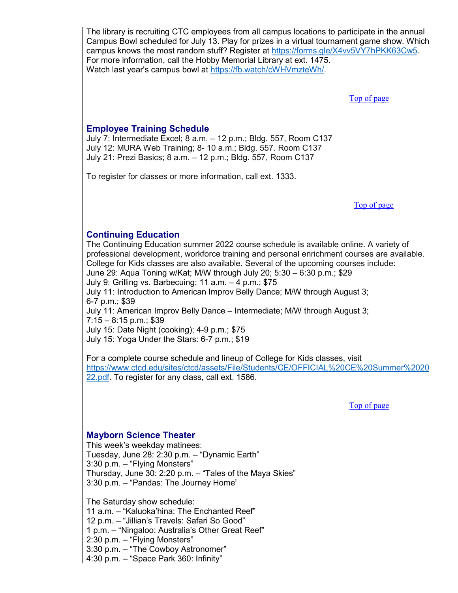The library is recruiting CTC employees from all campus locations to participate in the annual Campus Bowl scheduled for July 13. Play for prizes in a virtual tournament game show. Which campus knows the most random stuff? Register at [https://forms.gle/X4vv5VY7hPKK63Cw5.](https://forms.gle/X4vv5VY7hPKK63Cw5) For more information, call the Hobby Memorial Library at ext. 1475. Watch last year's campus bowl at [https://fb.watch/cWHVmzteWh/.](https://fb.watch/cWHVmzteWh/)

[Top of page](#page-0-2)

## <span id="page-4-0"></span>**Employee Training Schedule**

July 7: Intermediate Excel; 8 a.m. – 12 p.m.; Bldg. 557, Room C137 July 12: MURA Web Training; 8- 10 a.m.; Bldg. 557. Room C137 July 21: Prezi Basics; 8 a.m. – 12 p.m.; Bldg. 557, Room C137

To register for classes or more information, call ext. 1333.

[Top of page](#page-0-2)

## <span id="page-4-1"></span>**Continuing Education**

The Continuing Education summer 2022 course schedule is available online. A variety of professional development, workforce training and personal enrichment courses are available. College for Kids classes are also available. Several of the upcoming courses include: June 29: Aqua Toning w/Kat; M/W through July 20; 5:30 – 6:30 p.m.; \$29 July 9: Grilling vs. Barbecuing; 11 a.m. – 4 p.m.; \$75 July 11: Introduction to American Improv Belly Dance; M/W through August 3; 6-7 p.m.; \$39 July 11: American Improv Belly Dance – Intermediate; M/W through August 3;  $7:15 - 8:15$  p.m.; \$39 July 15: Date Night (cooking); 4-9 p.m.; \$75 July 15: Yoga Under the Stars: 6-7 p.m.; \$19

For a complete course schedule and lineup of College for Kids classes, visit [https://www.ctcd.edu/sites/ctcd/assets/File/Students/CE/OFFICIAL%20CE%20Summer%2020](https://www.ctcd.edu/sites/ctcd/assets/File/Students/CE/OFFICIAL%20CE%20Summer%202022.pdf) [22.pdf.](https://www.ctcd.edu/sites/ctcd/assets/File/Students/CE/OFFICIAL%20CE%20Summer%202022.pdf) To register for any class, call ext. 1586.

[Top of page](#page-0-2)

#### <span id="page-4-2"></span>**Mayborn Science Theater**

This week's weekday matinees: Tuesday, June 28: 2:30 p.m. – "Dynamic Earth" 3:30 p.m. – "Flying Monsters" Thursday, June 30: 2:20 p.m. – "Tales of the Maya Skies" 3:30 p.m. – "Pandas: The Journey Home"

The Saturday show schedule: 11 a.m. – "Kaluoka'hina: The Enchanted Reef" 12 p.m. – "Jillian's Travels: Safari So Good" 1 p.m. – "Ningaloo: Australia's Other Great Reef" 2:30 p.m. – "Flying Monsters" 3:30 p.m. – "The Cowboy Astronomer" 4:30 p.m. – "Space Park 360: Infinity"